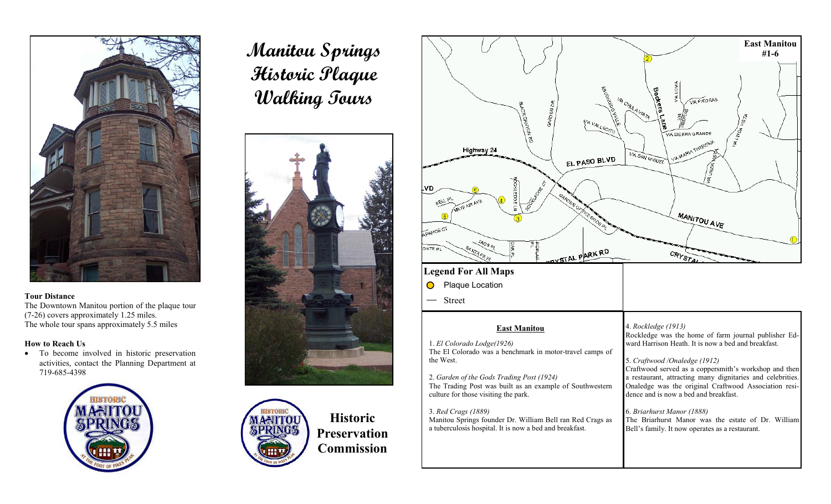

#### **Tour Distance**

The Downtown Manitou portion of the plaque tour (7-26) covers approximately 1.25 miles. The whole tour spans approximately 5.5 miles

## **How to Reach Us**

• To become involved in historic preservation activities, contact the Planning Department at 719-685-4398



# **Manitou Springs Historic Plaque Walking Tours**





**Historic Preservation Commission** 

|                                                                                                                                                                                                                                                                                                                                                                                                                            | <b>East Manitou</b><br>$#1 - 6$                                                                                                                                                                                                                                                                                                                                                                                                                                                                                                     |
|----------------------------------------------------------------------------------------------------------------------------------------------------------------------------------------------------------------------------------------------------------------------------------------------------------------------------------------------------------------------------------------------------------------------------|-------------------------------------------------------------------------------------------------------------------------------------------------------------------------------------------------------------------------------------------------------------------------------------------------------------------------------------------------------------------------------------------------------------------------------------------------------------------------------------------------------------------------------------|
| EBGORDO OVIALE<br>GARDENDR<br>BLACKCANYCA RD<br>VU VALLECTO<br>Highway 24<br>EL PASO BLVD<br>фоктеров ги<br>POCKES OF CT<br>.VD<br>emportant contractor<br><b>BEIL PL</b><br>MAYEAR AVE<br>6<br><b>APAHOECT</b><br>MOSPL<br><b>OAK PL</b><br>背<br>ONTE PL<br>SANTAFE PL<br>DYSTAL PARK RD<br><b>Legend For All Maps</b><br>Plaque Location                                                                                 | <b>ANCIAN</b><br>Beckers Lare<br>VA CHRRA VISTA<br><b>MA PIEORAS</b><br><b>VALANDATION</b><br>VIA SIERRA GRANDE<br>VIA MARIA THERESIA<br><b>VIA SAN MIGUEL</b><br>VIA LINDA<br><b>MANITOU AVE</b><br>CRYSTA                                                                                                                                                                                                                                                                                                                         |
| <b>Street</b>                                                                                                                                                                                                                                                                                                                                                                                                              |                                                                                                                                                                                                                                                                                                                                                                                                                                                                                                                                     |
| <b>East Manitou</b><br>1. El Colorado Lodge(1926)<br>The El Colorado was a benchmark in motor-travel camps of<br>the West.<br>2. Garden of the Gods Trading Post (1924)<br>The Trading Post was built as an example of Southwestern<br>culture for those visiting the park.<br>3. Red Crags (1889)<br>Manitou Springs founder Dr. William Bell ran Red Crags as<br>a tuberculosis hospital. It is now a bed and breakfast. | 4. Rockledge (1913)<br>Rockledge was the home of farm journal publisher Ed-<br>ward Harrison Heath. It is now a bed and breakfast.<br>5. Craftwood /Onaledge (1912)<br>Craftwood served as a coppersmith's workshop and then<br>a restaurant, attracting many dignitaries and celebrities.<br>Onaledge was the original Craftwood Association resi-<br>dence and is now a bed and breakfast.<br>6. Briarhurst Manor (1888)<br>The Briarhurst Manor was the estate of Dr. William<br>Bell's family. It now operates as a restaurant. |